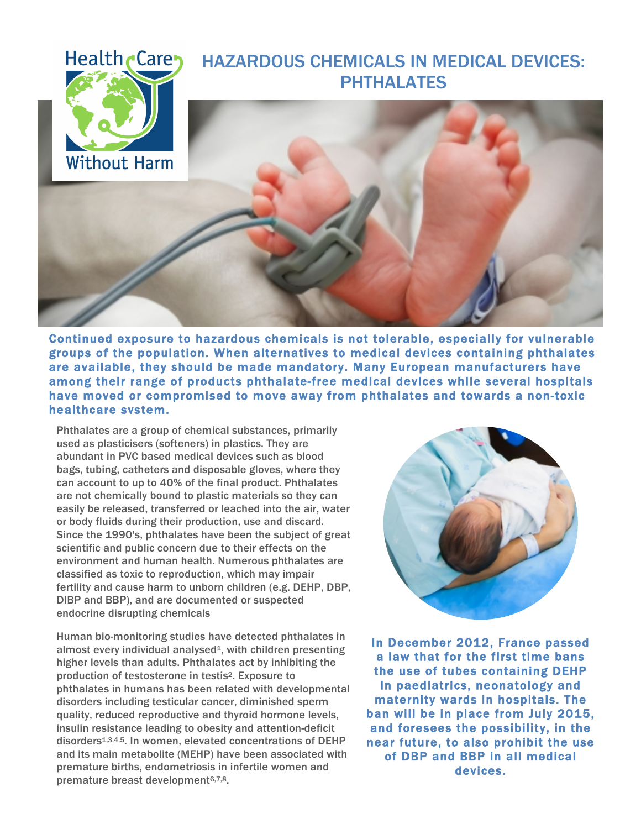## Health <sub>Care</sub> HAZARDOUS CHEMICALS IN MEDICAL DEVICES: PHTHALATES





Continued exposure to hazardous chemicals is not tolerable, especially for vulnerable groups of the population. When alternatives to medical devices containing phthalates are available, they should be made mandatory. Many European manufacturers have among their range of products phthalate-free medical devices while several hospitals have moved or compromised to move away from phthalates and towards a non-toxic healthcare system.

Phthalates are a group of chemical substances, primarily used as plasticisers (softeners) in plastics. They are abundant in PVC based medical devices such as blood bags, tubing, catheters and disposable gloves, where they can account to up to 40% of the final product. Phthalates are not chemically bound to plastic materials so they can easily be released, transferred or leached into the air, water or body fluids during their production, use and discard. Since the 1990's, phthalates have been the subject of great scientific and public concern due to their effects on the environment and human health. Numerous phthalates are classified as toxic to reproduction, which may impair fertility and cause harm to unborn children (e.g. DEHP, DBP, DIBP and BBP), and are documented or suspected endocrine disrupting chemicals

Human bio-monitoring studies have detected phthalates in almost every individual analysed<sup>1</sup>, with children presenting higher levels than adults. Phthalates act by inhibiting the production of testosterone in testis2. Exposure to phthalates in humans has been related with developmental disorders including testicular cancer, diminished sperm quality, reduced reproductive and thyroid hormone levels, insulin resistance leading to obesity and attention-deficit disorders1,3,4,5. In women, elevated concentrations of DEHP and its main metabolite (MEHP) have been associated with premature births, endometriosis in infertile women and premature breast development<sup>6,7,8</sup>.



In December 2012, France passed a law that for the first time bans the use of tubes containing DEHP in paediatrics, neonatology and maternity wards in hospitals. The ban will be in place from July 2015, and foresees the possibility, in the near future, to also prohibit the use of DBP and BBP in all medical devices.